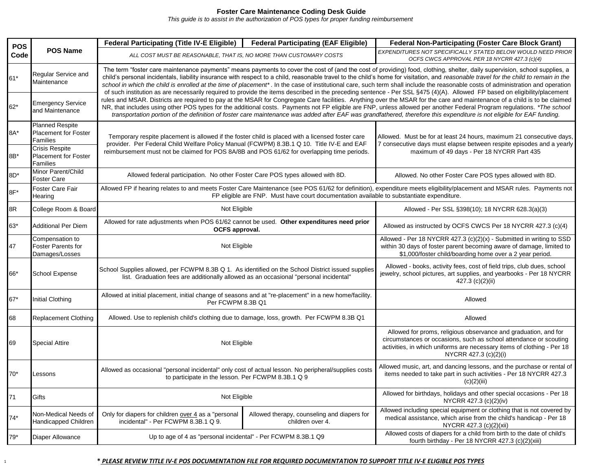## **Foster Care Maintenance Coding Desk Guide**

*This guide is to assist in the authorization of POS types for proper funding reimbursement* 

| <b>POS</b><br>Code | <b>POS Name</b>                                                         | <b>Federal Participating (Title IV-E Eligible)</b>                                                                                                                                                                                                                                                                                                                                                                                                                                                                                                                                                                                                                                                                                                                                                                                                                                                                                                                                                                                                                                                                                                                                                                                                                     | <b>Federal Participating (EAF Eligible)</b>                     | <b>Federal Non-Participating (Foster Care Block Grant)</b>                                                                                                                                                                              |  |  |
|--------------------|-------------------------------------------------------------------------|------------------------------------------------------------------------------------------------------------------------------------------------------------------------------------------------------------------------------------------------------------------------------------------------------------------------------------------------------------------------------------------------------------------------------------------------------------------------------------------------------------------------------------------------------------------------------------------------------------------------------------------------------------------------------------------------------------------------------------------------------------------------------------------------------------------------------------------------------------------------------------------------------------------------------------------------------------------------------------------------------------------------------------------------------------------------------------------------------------------------------------------------------------------------------------------------------------------------------------------------------------------------|-----------------------------------------------------------------|-----------------------------------------------------------------------------------------------------------------------------------------------------------------------------------------------------------------------------------------|--|--|
|                    |                                                                         | ALL COST MUST BE REASONABLE, THAT IS, NO MORE THAN CUSTOMARY COSTS                                                                                                                                                                                                                                                                                                                                                                                                                                                                                                                                                                                                                                                                                                                                                                                                                                                                                                                                                                                                                                                                                                                                                                                                     |                                                                 | EXPENDITURES NOT SPECIFICALLY STATED BELOW WOULD NEED PRIOR<br>OCFS CWCS APPROVAL PER 18 NYCRR 427.3 (c)(4)                                                                                                                             |  |  |
| 61*                | Regular Service and<br>Maintenance                                      | The term "foster care maintenance payments" means payments to cover the cost of (and the cost of providing) food, clothing, shelter, daily supervision, school supplies, a<br>child's personal incidentals, liability insurance with respect to a child, reasonable travel to the child's home for visitation, and reasonable travel for the child to remain in the<br>school in which the child is enrolled at the time of placement*. In the case of institutional care, such term shall include the reasonable costs of administration and operation<br>of such institution as are necessarily required to provide the items described in the preceding sentence - Per SSL §475 (4)(A). Allowed FP based on eligibility/placement<br>rules and MSAR. Districts are required to pay at the MSAR for Congregate Care facilities. Anything over the MSAR for the care and maintenance of a child is to be claimed<br>NR, that includes using other POS types for the additional costs. Payments not FP eligible are FNP, unless allowed per another Federal Program regulations. *The school<br>transportation portion of the definition of foster care maintenance was added after EAF was grandfathered, therefore this expenditure is not eligible for EAF funding. |                                                                 |                                                                                                                                                                                                                                         |  |  |
| $62*$              | <b>Emergency Service</b><br>and Maintenance                             |                                                                                                                                                                                                                                                                                                                                                                                                                                                                                                                                                                                                                                                                                                                                                                                                                                                                                                                                                                                                                                                                                                                                                                                                                                                                        |                                                                 |                                                                                                                                                                                                                                         |  |  |
| 8A*                | <b>Planned Respite</b><br><b>Placement for Foster</b><br>Families       | Temporary respite placement is allowed if the foster child is placed with a licensed foster care<br>provider. Per Federal Child Welfare Policy Manual (FCWPM) 8.3B.1 Q 10. Title IV-E and EAF                                                                                                                                                                                                                                                                                                                                                                                                                                                                                                                                                                                                                                                                                                                                                                                                                                                                                                                                                                                                                                                                          |                                                                 | Allowed. Must be for at least 24 hours, maximum 21 consecutive days,<br>7 consecutive days must elapse between respite episodes and a yearly                                                                                            |  |  |
| 8B*                | <b>Crisis Respite</b><br><b>Placement for Foster</b><br><b>Families</b> | reimbursement must not be claimed for POS 8A/8B and POS 61/62 for overlapping time periods.                                                                                                                                                                                                                                                                                                                                                                                                                                                                                                                                                                                                                                                                                                                                                                                                                                                                                                                                                                                                                                                                                                                                                                            |                                                                 | maximum of 49 days - Per 18 NYCRR Part 435                                                                                                                                                                                              |  |  |
| 8D <sup>*</sup>    | Minor Parent/Child<br>Foster Care                                       | Allowed federal participation. No other Foster Care POS types allowed with 8D.                                                                                                                                                                                                                                                                                                                                                                                                                                                                                                                                                                                                                                                                                                                                                                                                                                                                                                                                                                                                                                                                                                                                                                                         |                                                                 | Allowed. No other Foster Care POS types allowed with 8D.                                                                                                                                                                                |  |  |
| 8F*                | <b>Foster Care Fair</b><br>Hearing                                      | Allowed FP if hearing relates to and meets Foster Care Maintenance (see POS 61/62 for definition), expenditure meets eligibility/placement and MSAR rules. Payments not<br>FP eligible are FNP. Must have court documentation available to substantiate expenditure.                                                                                                                                                                                                                                                                                                                                                                                                                                                                                                                                                                                                                                                                                                                                                                                                                                                                                                                                                                                                   |                                                                 |                                                                                                                                                                                                                                         |  |  |
| 8R                 | College Room & Board                                                    | Not Eligible                                                                                                                                                                                                                                                                                                                                                                                                                                                                                                                                                                                                                                                                                                                                                                                                                                                                                                                                                                                                                                                                                                                                                                                                                                                           |                                                                 | Allowed - Per SSL §398(10); 18 NYCRR 628.3(a)(3)                                                                                                                                                                                        |  |  |
| 63*                | <b>Additional Per Diem</b>                                              | Allowed for rate adjustments when POS 61/62 cannot be used. Other expenditures need prior<br>OCFS approval.                                                                                                                                                                                                                                                                                                                                                                                                                                                                                                                                                                                                                                                                                                                                                                                                                                                                                                                                                                                                                                                                                                                                                            |                                                                 | Allowed as instructed by OCFS CWCS Per 18 NYCRR 427.3 (c)(4)                                                                                                                                                                            |  |  |
| 47                 | Compensation to<br><b>Foster Parents for</b><br>Damages/Losses          | Not Eligible                                                                                                                                                                                                                                                                                                                                                                                                                                                                                                                                                                                                                                                                                                                                                                                                                                                                                                                                                                                                                                                                                                                                                                                                                                                           |                                                                 | Allowed - Per 18 NYCRR 427.3 (c)(2)(x) - Submitted in writing to SSD<br>within 30 days of foster parent becoming aware of damage, limited to<br>\$1,000/foster child/boarding home over a 2 year period.                                |  |  |
| 66*                | School Expense                                                          | School Supplies allowed, per FCWPM 8.3B Q 1. As identified on the School District issued supplies<br>list. Graduation fees are additionally allowed as an occasional "personal incidental"                                                                                                                                                                                                                                                                                                                                                                                                                                                                                                                                                                                                                                                                                                                                                                                                                                                                                                                                                                                                                                                                             |                                                                 | Allowed - books, activity fees, cost of field trips, club dues, school<br>jewelry, school pictures, art supplies, and yearbooks - Per 18 NYCRR<br>427.3 $(c)(2)(ii)$                                                                    |  |  |
| 67*                | <b>Initial Clothing</b>                                                 | Allowed at initial placement, initial change of seasons and at "re-placement" in a new home/facility.<br>Per FCWPM 8.3B Q1                                                                                                                                                                                                                                                                                                                                                                                                                                                                                                                                                                                                                                                                                                                                                                                                                                                                                                                                                                                                                                                                                                                                             |                                                                 | Allowed                                                                                                                                                                                                                                 |  |  |
| 68                 | <b>Replacement Clothing</b>                                             | Allowed. Use to replenish child's clothing due to damage, loss, growth. Per FCWPM 8.3B Q1                                                                                                                                                                                                                                                                                                                                                                                                                                                                                                                                                                                                                                                                                                                                                                                                                                                                                                                                                                                                                                                                                                                                                                              |                                                                 | Allowed                                                                                                                                                                                                                                 |  |  |
| 69                 | <b>Special Attire</b>                                                   | Not Eligible                                                                                                                                                                                                                                                                                                                                                                                                                                                                                                                                                                                                                                                                                                                                                                                                                                                                                                                                                                                                                                                                                                                                                                                                                                                           |                                                                 | Allowed for proms, religious observance and graduation, and for<br>circumstances or occasions, such as school attendance or scouting<br>activities, in which uniforms are necessary items of clothing - Per 18<br>NYCRR 427.3 (c)(2)(i) |  |  |
| $70*$              | Lessons                                                                 | Allowed as occasional "personal incidental" only cost of actual lesson. No peripheral/supplies costs<br>to participate in the lesson. Per FCWPM 8.3B.1 Q 9                                                                                                                                                                                                                                                                                                                                                                                                                                                                                                                                                                                                                                                                                                                                                                                                                                                                                                                                                                                                                                                                                                             |                                                                 | Allowed music, art, and dancing lessons, and the purchase or rental of<br>items needed to take part in such activities - Per 18 NYCRR 427.3<br>(c)(2)(iii)                                                                              |  |  |
| 71                 | Gifts                                                                   | Not Eligible                                                                                                                                                                                                                                                                                                                                                                                                                                                                                                                                                                                                                                                                                                                                                                                                                                                                                                                                                                                                                                                                                                                                                                                                                                                           |                                                                 | Allowed for birthdays, holidays and other special occasions - Per 18<br>NYCRR 427.3 (c)(2)(iv)                                                                                                                                          |  |  |
| $74*$              | Non-Medical Needs of<br>Handicapped Children                            | Only for diapers for children over 4 as a "personal<br>incidental" - Per FCWPM 8.3B.1 Q 9.                                                                                                                                                                                                                                                                                                                                                                                                                                                                                                                                                                                                                                                                                                                                                                                                                                                                                                                                                                                                                                                                                                                                                                             | Allowed therapy, counseling and diapers for<br>children over 4. | Allowed including special equipment or clothing that is not covered by<br>medical assistance, which arise from the child's handicap - Per 18<br>NYCRR 427.3 (c)(2)(xii)                                                                 |  |  |
| $79*$              | Diaper Allowance                                                        | Up to age of 4 as "personal incidental" - Per FCWPM 8.3B.1 Q9                                                                                                                                                                                                                                                                                                                                                                                                                                                                                                                                                                                                                                                                                                                                                                                                                                                                                                                                                                                                                                                                                                                                                                                                          |                                                                 | Allowed costs of diapers for a child from birth to the date of child's<br>fourth birthday - Per 18 NYCRR 427.3 (c)(2)(xiii)                                                                                                             |  |  |

## <sup>1</sup> **\*** *PLEASE REVIEW TITLE IV-E POS DOCUMENTATION FILE FOR REQUIRED DOCUMENTATION TO SUPPORT TITLE IV-E ELIGIBLE POS TYPES*